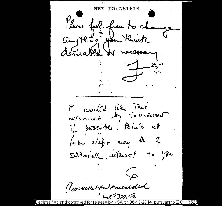REF Please feel free to change Cong thing you think Frable or necessary P would like Mes if pessible. Points at perper clips may be of Editorial cuterost to you. (Imsur as mended メンカ・イマ

Declassified 13528 iant to: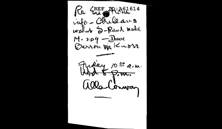Re ERE PRIACIS14 info- Chileaus walled S-Rand water M-209 - Deax

Friday 1000 a.m.  $A F P$ la Comman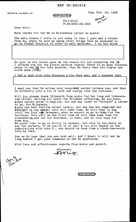## REF ID:A61614

BORIS HAGELIN

Zug, Nova 19, 1958

Fecanizati

·. ·· ... ·· ... ·· ... ··.. · .. · .. · .. · .. · ..

 $EO(3.3(h)(2)$ PL 86-36/50 USC 3605

Dear B111:

Many thanks for the PS on Elizebeths letter to Anniel

The main resaon I write to you today is that I just had a letter from Bo, where he told me among other things that he expected to go to Ciudad Trujillo in order to sell machines. I do not think

<del>[TOP SECRE]</del>

Bo also in his letter gave me the reason for not accepting the  $5%$ I offered him for the pocket machine rights: There is so much interest shown in the US for this machine, that he feels that his rights are worth more  $\sqrt{10\%}/$ ,

I had a talk with John Ferguson a few days ago, and I suppose that

I must say that Bo writes very reasonbay worded letters now, and that he evidently puts a lot of work and energy into our business.

Will you please thank Elizebeth from Annie for her long and interestwith you prease than all about the Friedman offspring, As you know, Annie cannot write in English, but she may later on "dictate" a letter to me, for Elizebeth.

Annie has been feeling better lately, but she has not regained her this has seen learning sector incertig and the manufactured in the section of until the 21st of December, when we expect to go to Rome for the Holidays. This will be the first time we will take some time for sightseetng,and not for business, tn Rome, and we only hope for some sun.

We would like to go to Sicily in January, but this ls too early to we would like to go to sicily in sammary, but this is too early to<br>say for certain, if we can do it or not. A lot will depend on the negociations with John F., who should be back from a round-the-world trip by then.

Now we do hope that you are both well. And I trust it will not be long before I get your comments on the Bo questions.

With love and affectionate regards from Annie and myself.

Sincerely  $70 - 7$ 

f<del>for secre</del>